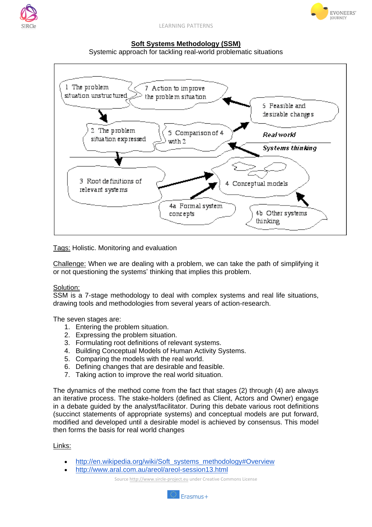



LEARNING PATTERNS

## **Soft Systems Methodology (SSM)**

Systemic approach for tackling real-world problematic situations



Tags: Holistic. Monitoring and evaluation

Challenge: When we are dealing with a problem, we can take the path of simplifying it or not questioning the systems' thinking that implies this problem.

## Solution:

SSM is a 7-stage methodology to deal with complex systems and real life situations, drawing tools and methodologies from several years of action-research.

The seven stages are:

- 1. Entering the problem situation.
- 2. Expressing the problem situation.
- 3. Formulating root definitions of relevant systems.
- 4. Building Conceptual Models of Human Activity Systems.
- 5. Comparing the models with the real world.
- 6. Defining changes that are desirable and feasible.
- 7. Taking action to improve the real world situation.

The dynamics of the method come from the fact that stages (2) through (4) are always an iterative process. The stake-holders (defined as Client, Actors and Owner) engage in a debate guided by the analyst/facilitator. During this debate various root definitions (succinct statements of appropriate systems) and conceptual models are put forward, modified and developed until a desirable model is achieved by consensus. This model then forms the basis for real world changes

## Links:

- [http://en.wikipedia.org/wiki/Soft\\_systems\\_methodology#Overview](http://en.wikipedia.org/wiki/Soft_systems_methodology#Overview)
- <http://www.aral.com.au/areol/areol-session13.html>

Source http://www.sircle-project.eu under Creative Commons License